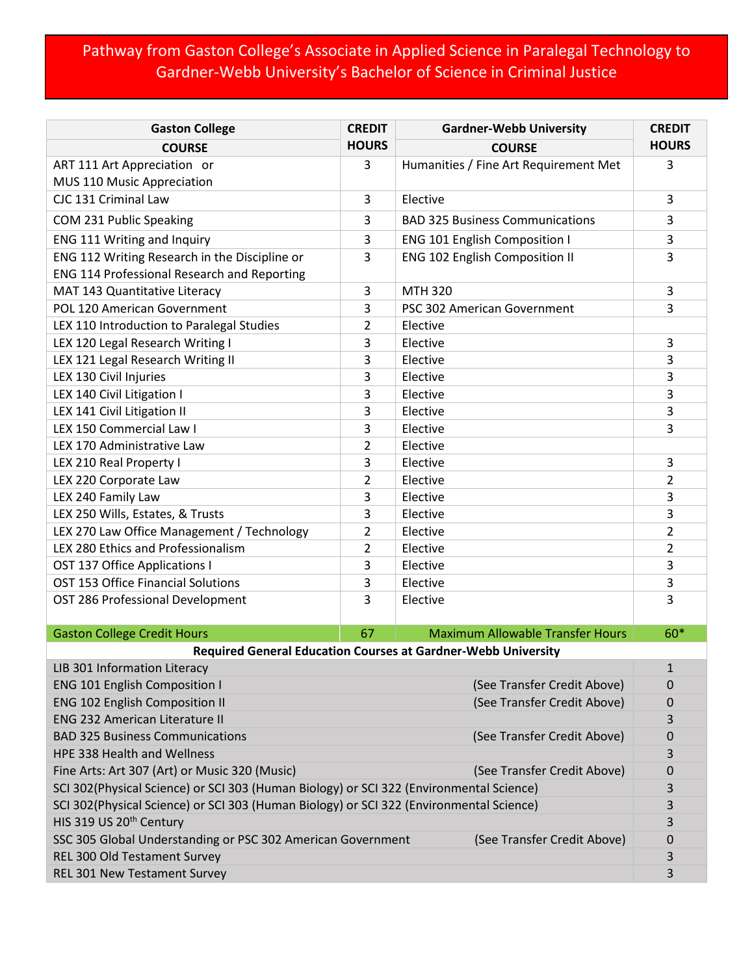## Pathway from Gaston College's Associate in Applied Science in Paralegal Technology to Gardner-Webb University's Bachelor of Science in Criminal Justice

| <b>Gaston College</b>                                                                      | <b>CREDIT</b>  | <b>Gardner-Webb University</b>          | <b>CREDIT</b>  |  |
|--------------------------------------------------------------------------------------------|----------------|-----------------------------------------|----------------|--|
| <b>COURSE</b>                                                                              | <b>HOURS</b>   | <b>COURSE</b>                           | <b>HOURS</b>   |  |
| ART 111 Art Appreciation or                                                                | 3              | Humanities / Fine Art Requirement Met   | 3              |  |
| MUS 110 Music Appreciation                                                                 |                |                                         |                |  |
| CJC 131 Criminal Law                                                                       | 3              | Elective                                | 3              |  |
| COM 231 Public Speaking                                                                    | 3              | <b>BAD 325 Business Communications</b>  | 3              |  |
| ENG 111 Writing and Inquiry                                                                | 3              | <b>ENG 101 English Composition I</b>    | 3              |  |
| ENG 112 Writing Research in the Discipline or                                              | 3              | <b>ENG 102 English Composition II</b>   | 3              |  |
| ENG 114 Professional Research and Reporting                                                |                |                                         |                |  |
| MAT 143 Quantitative Literacy                                                              | 3              | <b>MTH 320</b>                          | 3              |  |
| <b>POL 120 American Government</b>                                                         | 3              | PSC 302 American Government             | 3              |  |
| LEX 110 Introduction to Paralegal Studies                                                  | 2              | Elective                                |                |  |
| LEX 120 Legal Research Writing I                                                           | 3              | Elective                                | 3              |  |
| LEX 121 Legal Research Writing II                                                          | 3              | Elective                                | 3              |  |
| LEX 130 Civil Injuries                                                                     | 3              | Elective                                | 3              |  |
| LEX 140 Civil Litigation I                                                                 | 3              | Elective                                | 3              |  |
| LEX 141 Civil Litigation II                                                                | 3              | Elective                                | 3              |  |
| LEX 150 Commercial Law I                                                                   | 3              | Elective                                | 3              |  |
| LEX 170 Administrative Law                                                                 | $\overline{2}$ | Elective                                |                |  |
| LEX 210 Real Property I                                                                    | 3              | Elective                                | 3              |  |
| LEX 220 Corporate Law                                                                      | 2              | Elective                                | 2              |  |
| LEX 240 Family Law                                                                         | 3              | Elective                                | 3              |  |
| LEX 250 Wills, Estates, & Trusts                                                           | 3              | Elective                                | 3              |  |
| LEX 270 Law Office Management / Technology                                                 | 2              | Elective                                | $\overline{2}$ |  |
| LEX 280 Ethics and Professionalism                                                         | $\overline{2}$ | Elective                                | $\overline{2}$ |  |
| OST 137 Office Applications I                                                              | 3              | Elective                                | 3              |  |
| OST 153 Office Financial Solutions                                                         | 3              | Elective                                | 3              |  |
| OST 286 Professional Development                                                           | 3              | Elective                                | 3              |  |
|                                                                                            |                |                                         |                |  |
| <b>Gaston College Credit Hours</b>                                                         | 67             | <b>Maximum Allowable Transfer Hours</b> | 60*            |  |
| <b>Required General Education Courses at Gardner-Webb University</b>                       |                |                                         |                |  |
| LIB 301 Information Literacy                                                               |                |                                         | $\mathbf 1$    |  |
| <b>ENG 101 English Composition I</b><br>(See Transfer Credit Above)                        |                |                                         | 0              |  |
| <b>ENG 102 English Composition II</b><br>(See Transfer Credit Above)                       |                |                                         | 0              |  |
| <b>ENG 232 American Literature II</b>                                                      |                |                                         | 3              |  |
| (See Transfer Credit Above)<br><b>BAD 325 Business Communications</b>                      |                |                                         | 0              |  |
| HPE 338 Health and Wellness                                                                |                |                                         | 3              |  |
| Fine Arts: Art 307 (Art) or Music 320 (Music)<br>(See Transfer Credit Above)               |                |                                         | 0              |  |
| SCI 302(Physical Science) or SCI 303 (Human Biology) or SCI 322 (Environmental Science)    |                |                                         | 3<br>3         |  |
| SCI 302(Physical Science) or SCI 303 (Human Biology) or SCI 322 (Environmental Science)    |                |                                         |                |  |
| HIS 319 US 20 <sup>th</sup> Century                                                        |                |                                         | 3              |  |
| SSC 305 Global Understanding or PSC 302 American Government<br>(See Transfer Credit Above) |                |                                         | 0              |  |
| REL 300 Old Testament Survey                                                               |                |                                         | 3              |  |
| REL 301 New Testament Survey                                                               |                |                                         | 3              |  |